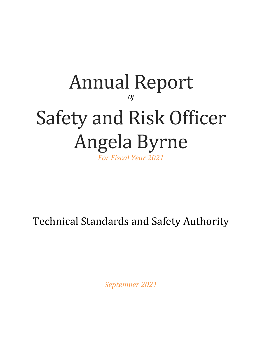# Annual Report *Of* Safety and Risk Officer Angela Byrne *For Fiscal Year 2021*

Technical Standards and Safety Authority

*September 2021*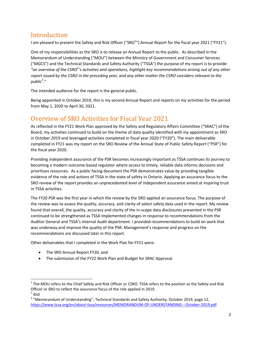# Introduction

I am pleased to present the Safety and Risk Officer ("SRO<sup>1</sup>") Annual Report for the fiscal year 2021 ("FY21").

One of my responsibilities as the SRO is to release an Annual Report to the public. As described in the Memorandum of Understanding ("MOU") between the Ministry of Government and Consumer Services ("MGCS") and the Technical Standards and Safety Authority ("TSSA") the purpose of my report is to provide *"an overview of the CSRO<sup>2</sup> 's activities and operations, highlight key recommendations arising out of any other report issued by the CSRO in the preceding year, and any other matter the CSRO considers relevant to the public*<sup>3</sup> ."

The intended audience for the report is the general public.

Being appointed in October 2019, this is my second Annual Report and reports on my activities for the period from May 1, 2020 to April 30, 2021.

# Overview of SRO Activities for Fiscal Year 2021

As reflected in the FY21 Work Plan approved by the Safety and Regulatory Affairs Committee ("SRAC") of the Board, my activities continued to build on the theme of data quality identified with my appointment as SRO in October 2019 and leveraged activities completed in fiscal year 2020 ("FY20"). The main deliverable completed in FY21 was my report on the SRO Review of the Annual State of Public Safety Report ("PSR") for the fiscal year 2020.

Providing independent assurance of the PSR becomes increasingly important as TSSA continues its journey to becoming a modern outcome-based regulator where access to timely, reliable data informs decisions and prioritizes resources. As a public facing document the PSR demonstrates value by providing tangible evidence of the role and actions of TSSA in the state of safety in Ontario. Applying an assurance focus to the SRO review of the report provides an unprecedented level of independent assurance aimed at inspiring trust in TSSA activities.

The FY20 PSR was the first year in which the review by the SRO applied an assurance focus. The purpose of the review was to assess the quality, accuracy, and clarity of select safety data used in the report. My review found that overall, the quality, accuracy and clarity of the in-scope data disclosures presented in the PSR continued to be strengthened as TSSA implemented changes in response to recommendations from the Auditor General and TSSA's Internal Audit department. I provided recommendations to build on work that was underway and improve the quality of the PSR. Management's response and progress on the recommendations are discussed later in this report.

Other deliverables that I completed in the Work Plan for FY21 were:

• The SRO Annual Report FY20, and

 $\overline{a}$ 

• The submission of the FY22 Work Plan and Budget for SRAC Approval.

 $^1$  The MOU refers to the Chief Safety and Risk Officer or CSRO. TSSA refers to the position as the Safety and Risk Officer or SRO to reflect the assurance focus of the role applied in 2019.  $2$  Ibid

<sup>&</sup>lt;sup>3</sup> "Memorandum of Understanding", Technical Standards and Safety Authority, October 2019, page 12, <https://www.tssa.org/en/about-tssa/resources/MEMORANDUM-OF-UNDERSTANDING---October-2019.pdf>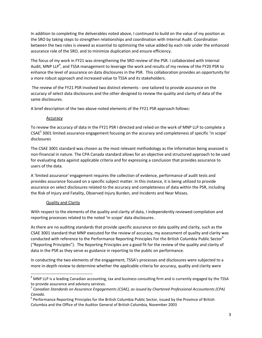In addition to completing the deliverables noted above, I continued to build on the value of my position as the SRO by taking steps to strengthen relationships and coordination with Internal Audit. Coordination between the two roles is viewed as essential to optimizing the value added by each role under the enhanced assurance role of the SRO, and to minimize duplication and ensure efficiency.

The focus of my work in FY21 was strengthening the SRO review of the PSR. I collaborated with Internal Audit, MNP LLP<sup>4</sup>, and TSSA management to leverage the work and results of my review of the FY20 PSR to enhance the level of assurance on data disclosures in the PSR. This collaboration provides an opportunity for a more robust approach and increased value to TSSA and its stakeholders.

The review of the FY21 PSR involved two distinct elements - one tailored to provide assurance on the accuracy of select data disclosures and the other designed to review the quality and clarity of data of the same disclosures.

A brief description of the two above-noted elements of the FY21 PSR approach follows:

#### Accuracy

To review the accuracy of data in the FY21 PSR I directed and relied on the work of MNP LLP to complete a CSAE<sup>5</sup> 3001 limited assurance engagement focusing on the accuracy and completeness of specific 'in scope' disclosures

The CSAE 3001 standard was chosen as the most relevant methodology as the information being assessed is non-financial in nature. The CPA Canada standard allows for an objective and structured approach to be used for evaluating data against applicable criteria and for expressing a conclusion that provides assurance to users of the data.

A 'limited assurance' engagement requires the collection of evidence, performance of audit tests and provides assurance focused on a specific subject matter. In this instance, it is being utilized to provide assurance on select disclosures related to the accuracy and completeness of data within the PSR, including the Risk of Injury and Fatality, Observed Injury Burden, and Incidents and Near Misses.

#### Quality and Clarity

 $\overline{\phantom{a}}$ 

With respect to the elements of the quality and clarity of data, I independently reviewed compilation and reporting processes related to the noted 'in scope' data disclosures.

As there are no auditing standards that provide specific assurance on data quality and clarity, such as the CSAE 3001 standard that MNP executed for the review of accuracy, my assessment of quality and clarity was conducted with reference to the Performance Reporting Principles For the British Columbia Public Sector<sup>6</sup> ("Reporting Principles"). The Reporting Principles are a good fit for the review of the quality and clarity of data in the PSR as they serve as guidance in reporting to the public on performance.

In conducting the two elements of the engagement, TSSA's processes and disclosures were subjected to a more in-depth review to determine whether the applicable criteria for accuracy, quality and clarity were

 $<sup>4</sup>$  MNP LLP is a leading Canadian accounting, tax and business consulting firm and is currently engaged by the TSSA</sup> to provide assurance and advisory services.

*<sup>5</sup> Canadian Standards on Assurance Engagements (CSAE), as issued by Chartered Professional Accountants (CPA) Canada.*

<sup>&</sup>lt;sup>6</sup> Performance Reporting Principles for the British Columbia Public Sector, issued by the Province of British Columbia and the Office of the Auditor General of British Columbia, November 2003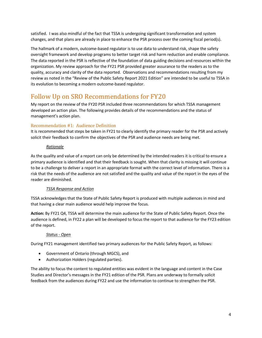satisfied. I was also mindful of the fact that TSSA is undergoing significant transformation and system changes, and that plans are already in place to enhance the PSR process over the coming fiscal period(s).

The hallmark of a modern, outcome-based regulator is to use data to understand risk, shape the safety oversight framework and develop programs to better target risk and harm reduction and enable compliance. The data reported in the PSR is reflective of the foundation of data guiding decisions and resources within the organization. My review approach for the FY21 PSR provided greater assurance to the readers as to the quality, accuracy and clarity of the data reported. Observations and recommendations resulting from my review as noted in the "Review of the Public Safety Report 2021 Edition" are intended to be useful to TSSA in its evolution to becoming a modern outcome-based regulator.

# Follow Up on SRO Recommendations for FY20

My report on the review of the FY20 PSR included three recommendations for which TSSA management developed an action plan. The following provides details of the recommendations and the status of management's action plan.

## Recommendation #1: Audience Definition

It is recommended that steps be taken in FY21 to clearly identify the primary reader for the PSR and actively solicit their feedback to confirm the objectives of the PSR and audience needs are being met.

## *Rationale*

As the quality and value of a report can only be determined by the intended readers it is critical to ensure a primary audience is identified and that their feedback is sought. When that clarity is missing it will continue to be a challenge to deliver a report in an appropriate format with the correct level of information. There is a risk that the needs of the audience are not satisfied and the quality and value of the report in the eyes of the reader are diminished.

## *TSSA Response and Action*

TSSA acknowledges that the State of Public Safety Report is produced with multiple audiences in mind and that having a clear main audience would help improve the focus.

**Action:** By FY21 Q4, TSSA will determine the main audience for the State of Public Safety Report. Once the audience is defined, in FY22 a plan will be developed to focus the report to that audience for the FY23 edition of the report.

#### *Status - Open*

During FY21 management identified two primary audiences for the Public Safety Report, as follows:

- Government of Ontario (through MGCS), and
- Authorization Holders (regulated parties).

The ability to focus the content to regulated entities was evident in the language and content in the Case Studies and Director's messages in the FY21 edition of the PSR. Plans are underway to formally solicit feedback from the audiences during FY22 and use the information to continue to strengthen the PSR.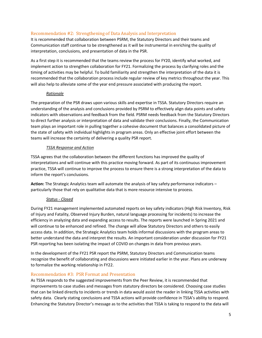## Recommendation #2: Strengthening of Data Analysis and Interpretation

It is recommended that collaboration between PSRM, the Statutory Directors and their teams and Communication staff continue to be strengthened as it will be instrumental in enriching the quality of interpretation, conclusions, and presentation of data in the PSR.

As a first step it is recommended that the teams review the process for FY20, identify what worked, and implement action to strengthen collaboration for FY21. Formalizing the process by clarifying roles and the timing of activities may be helpful. To build familiarity and strengthen the interpretation of the data it is recommended that the collaboration process include regular review of key metrics throughout the year. This will also help to alleviate some of the year end pressure associated with producing the report.

#### *Rationale*

The preparation of the PSR draws upon various skills and expertise in TSSA. Statutory Directors require an understanding of the analysis and conclusions provided by PSRM to effectively align data points and safety indicators with observations and feedback from the field. PSRM needs feedback from the Statutory Directors to direct further analysis or interpretation of data and validate their conclusions. Finally, the Communication team plays an important role in pulling together a cohesive document that balances a consolidated picture of the state of safety with individual highlights in program areas. Only an effective joint effort between the teams will increase the certainty of delivering a quality PSR report.

#### *TSSA Response and Action*

TSSA agrees that the collaboration between the different functions has improved the quality of interpretations and will continue with this practice moving forward. As part of its continuous improvement practice, TSSA will continue to improve the process to ensure there is a strong interpretation of the data to inform the report's conclusions.

**Action:** The Strategic Analytics team will automate the analysis of key safety performance indicators – particularly those that rely on qualitative data that is more resource intensive to process.

## *Status - Closed*

During FY21 management implemented automated reports on key safety indicators (High Risk Inventory, Risk of Injury and Fatality, Observed Injury Burden, natural language processing for incidents) to increase the efficiency in analyzing data and expanding access to results. The reports were launched in Spring 2021 and will continue to be enhanced and refined. The change will allow Statutory Directors and others to easily access data. In addition, the Strategic Analytics team holds informal discussions with the program areas to better understand the data and interpret the results. An important consideration under discussion for FY21 PSR reporting has been isolating the impact of COVID on changes in data from previous years.

In the development of the FY21 PSR report the PSRM, Statutory Directors and Communication teams recognize the benefit of collaborating and discussions were initiated earlier in the year. Plans are underway to formalize the working relationship in FY22.

## Recommendation #3: PSR Format and Presentation

As TSSA responds to the suggested improvements from the Peer Review, it is recommended that improvements to case studies and messages from statutory directors be considered. Choosing case studies that can be linked directly to incidents or trends in data would assist the reader in linking TSSA activities with safety data. Clearly stating conclusions and TSSA actions will provide confidence in TSSA's ability to respond. Enhancing the Statutory Director's message as to the activities that TSSA is taking to respond to the data will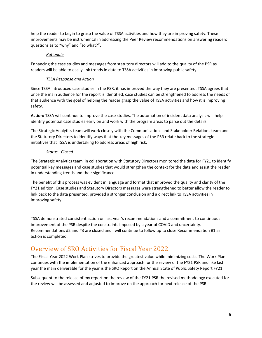help the reader to begin to grasp the value of TSSA activities and how they are improving safety. These improvements may be instrumental in addressing the Peer Review recommendations on answering readers questions as to "why" and "so what?".

#### *Rationale*

Enhancing the case studies and messages from statutory directors will add to the quality of the PSR as readers will be able to easily link trends in data to TSSA activities in improving public safety.

### *TSSA Response and Action*

Since TSSA introduced case studies in the PSR, it has improved the way they are presented. TSSA agrees that once the main audience for the report is identified, case studies can be strengthened to address the needs of that audience with the goal of helping the reader grasp the value of TSSA activities and how it is improving safety.

**Action:** TSSA will continue to improve the case studies. The automation of incident data analysis will help identify potential case studies early on and work with the program areas to parse out the details.

The Strategic Analytics team will work closely with the Communications and Stakeholder Relations team and the Statutory Directors to identify ways that the key messages of the PSR relate back to the strategic initiatives that TSSA is undertaking to address areas of high risk.

#### *Status - Closed*

The Strategic Analytics team, in collaboration with Statutory Directors monitored the data for FY21 to identify potential key messages and case studies that would strengthen the context for the data and assist the reader in understanding trends and their significance.

The benefit of this process was evident in language and format that improved the quality and clarity of the FY21 edition. Case studies and Statutory Directors messages were strengthened to better allow the reader to link back to the data presented, provided a stronger conclusion and a direct link to TSSA activities in improving safety.

TSSA demonstrated consistent action on last year's recommendations and a commitment to continuous improvement of the PSR despite the constraints imposed by a year of COVID and uncertainty. Recommendations #2 and #3 are closed and I will continue to follow up to close Recommendation #1 as action is completed.

# Overview of SRO Activities for Fiscal Year 2022

The Fiscal Year 2022 Work Plan strives to provide the greatest value while minimizing costs. The Work Plan continues with the implementation of the enhanced approach for the review of the FY21 PSR and like last year the main deliverable for the year is the SRO Report on the Annual State of Public Safety Report FY21.

Subsequent to the release of my report on the review of the FY21 PSR the revised methodology executed for the review will be assessed and adjusted to improve on the approach for next release of the PSR.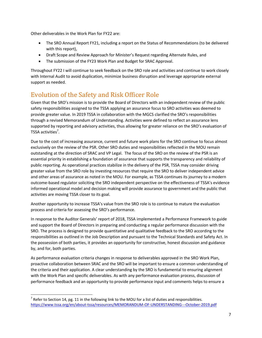Other deliverables in the Work Plan for FY22 are:

- The SRO Annual Report FY21, including a report on the Status of Recommendations (to be delivered with this report),
- Draft Scope and Review Approach for Minister's Request regarding Alternate Rules, and
- The submission of the FY23 Work Plan and Budget for SRAC Approval.

Throughout FY22 I will continue to seek feedback on the SRO role and activities and continue to work closely with Internal Audit to avoid duplication, minimize business disruption and leverage appropriate external support as needed.

# Evolution of the Safety and Risk Officer Role

Given that the SRO's mission is to provide the Board of Directors with an independent review of the public safety responsibilities assigned to the TSSA applying an assurance focus to SRO activities was deemed to provide greater value. In 2019 TSSA in collaboration with the MGCS clarified the SRO's responsibilities through a revised Memorandum of Understanding. Activities were defined to reflect an assurance lens supported by reporting and advisory activities, thus allowing for greater reliance on the SRO's evaluation of TSSA activities<sup>7</sup>.

Due to the cost of increasing assurance, current and future work plans for the SRO continue to focus almost exclusively on the review of the PSR. Other SRO duties and responsibilities reflected in the MOU remain outstanding at the direction of SRAC and VP Legal. The focus of the SRO on the review of the PSR is an essential priority in establishing a foundation of assurance that supports the transparency and reliability of public reporting. As operational practices stabilize in the delivery of the PSR, TSSA may consider driving greater value from the SRO role by investing resources that require the SRO to deliver independent advice and other areas of assurance as noted in the MOU. For example, as TSSA continues its journey to a modern outcome-based regulator soliciting the SRO independent perspective on the effectiveness of TSSA's evidence informed operational model and decision making will provide assurance to government and the public that activities are moving TSSA closer to its goal.

Another opportunity to increase TSSA's value from the SRO role is to continue to mature the evaluation process and criteria for assessing the SRO's performance.

In response to the Auditor Generals' report of 2018, TSSA implemented a Performance Framework to guide and support the Board of Directors in preparing and conducting a regular performance discussion with the SRO. The process is designed to provide quantitative and qualitative feedback to the SRO according to the responsibilities as outlined in the Job Description and pursuant to the Technical Standards and Safety Act. In the possession of both parties, it provides an opportunity for constructive, honest discussion and guidance by, and for, both parties.

As performance evaluation criteria changes in response to deliverables approved in the SRO Work Plan, proactive collaboration between SRAC and the SRO will be important to ensure a common understanding of the criteria and their application. A clear understanding by the SRO is fundamental to ensuring alignment with the Work Plan and specific deliverables. As with any performance evaluation process, discussion of performance feedback and an opportunity to provide performance input and comments helps to ensure a

 $\overline{a}$ 

 $^7$  Refer to Section 14, pg. 11 in the following link to the MOU for a list of duties and responsibilities. <https://www.tssa.org/en/about-tssa/resources/MEMORANDUM-OF-UNDERSTANDING---October-2019.pdf>